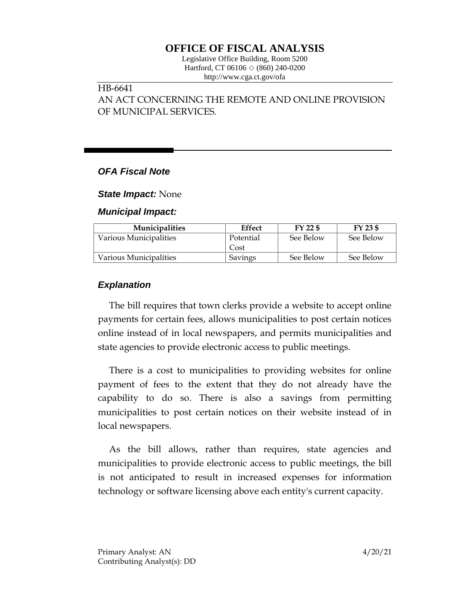# **OFFICE OF FISCAL ANALYSIS**

Legislative Office Building, Room 5200 Hartford, CT 06106 ◇ (860) 240-0200 http://www.cga.ct.gov/ofa

### HB-6641

AN ACT CONCERNING THE REMOTE AND ONLINE PROVISION OF MUNICIPAL SERVICES.

### *OFA Fiscal Note*

*State Impact:* None

*Municipal Impact:*

| <b>Municipalities</b>  | Effect    | FY 22 \$  | FY 23 \$  |
|------------------------|-----------|-----------|-----------|
| Various Municipalities | Potential | See Below | See Below |
|                        | Cost      |           |           |
| Various Municipalities | Savings   | See Below | See Below |

### *Explanation*

The bill requires that town clerks provide a website to accept online payments for certain fees, allows municipalities to post certain notices online instead of in local newspapers, and permits municipalities and state agencies to provide electronic access to public meetings.

There is a cost to municipalities to providing websites for online payment of fees to the extent that they do not already have the capability to do so. There is also a savings from permitting municipalities to post certain notices on their website instead of in local newspapers.

As the bill allows, rather than requires, state agencies and municipalities to provide electronic access to public meetings, the bill is not anticipated to result in increased expenses for information technology or software licensing above each entity's current capacity.